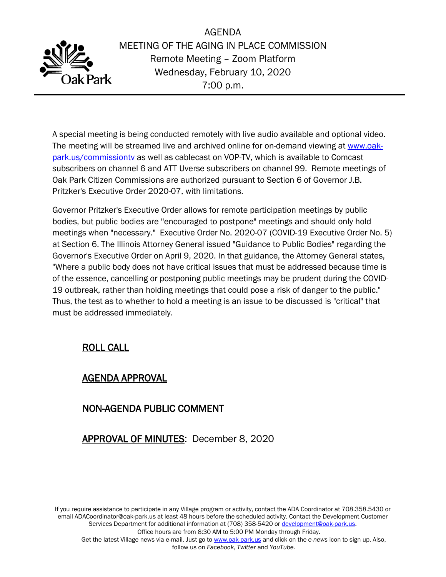

AGENDA MEETING OF THE AGING IN PLACE COMMISSION Remote Meeting – Zoom Platform Wednesday, February 10, 2020 7:00 p.m.

A special meeting is being conducted remotely with live audio available and optional video. The meeting will be streamed live and archived online for on-demand viewing at [www.oak](http://www.oak-park.us/commissiontv)[park.us/commissiontv](http://www.oak-park.us/commissiontv) as well as cablecast on VOP-TV, which is available to Comcast subscribers on channel 6 and ATT Uverse subscribers on channel 99. Remote meetings of Oak Park Citizen Commissions are authorized pursuant to Section 6 of Governor J.B. Pritzker's Executive Order 2020-07, with limitations.

Governor Pritzker's Executive Order allows for remote participation meetings by public bodies, but public bodies are ''encouraged to postpone" meetings and should only hold meetings when "necessary." Executive Order No. 2020-07 (COVID-19 Executive Order No. 5) at Section 6. The Illinois Attorney General issued "Guidance to Public Bodies" regarding the Governor's Executive Order on April 9, 2020. In that guidance, the Attorney General states, "Where a public body does not have critical issues that must be addressed because time is of the essence, cancelling or postponing public meetings may be prudent during the COVID-19 outbreak, rather than holding meetings that could pose a risk of danger to the public." Thus, the test as to whether to hold a meeting is an issue to be discussed is "critical" that must be addressed immediately.

# ROLL CALL

### AGENDA APPROVAL

# NON-AGENDA PUBLIC COMMENT

# APPROVAL OF MINUTES: December 8, 2020

If you require assistance to participate in any Village program or activity, contact the ADA Coordinator at 708.358.5430 or email ADACoordinator@oak-park.us at least 48 hours before the scheduled activity. Contact the Development Customer Services Department for additional information at (708) 358-5420 or [development@oak-park.us.](mailto:development@oak-park.us) Office hours are from 8:30 AM to 5:00 PM Monday through Friday.

Get the latest Village news via e-mail. Just go to [www.oak-park.us](http://www.oak-park.us/) and click on the *e-news* icon to sign up. Also, follow us on *Facebook*, *Twitter* and *YouTube*.